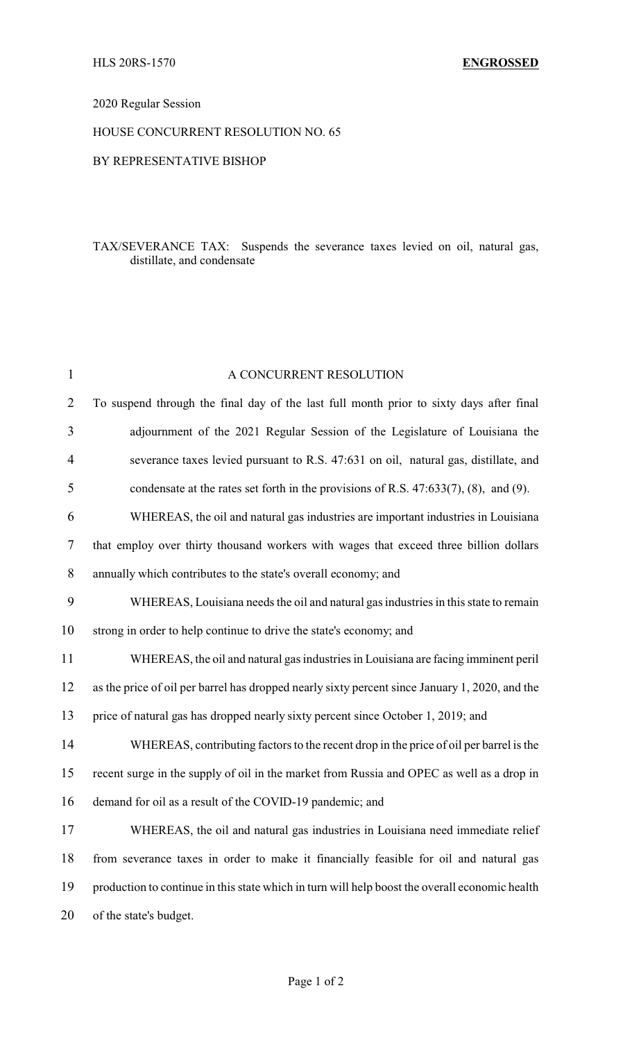### 2020 Regular Session

# HOUSE CONCURRENT RESOLUTION NO. 65

#### BY REPRESENTATIVE BISHOP

### TAX/SEVERANCE TAX: Suspends the severance taxes levied on oil, natural gas, distillate, and condensate

| $\mathbf{1}$   | A CONCURRENT RESOLUTION                                                                        |
|----------------|------------------------------------------------------------------------------------------------|
| $\overline{2}$ | To suspend through the final day of the last full month prior to sixty days after final        |
| 3              | adjournment of the 2021 Regular Session of the Legislature of Louisiana the                    |
| 4              | severance taxes levied pursuant to R.S. 47:631 on oil, natural gas, distillate, and            |
| 5              | condensate at the rates set forth in the provisions of R.S. $47:633(7)$ , $(8)$ , and $(9)$ .  |
| 6              | WHEREAS, the oil and natural gas industries are important industries in Louisiana              |
| $\tau$         | that employ over thirty thousand workers with wages that exceed three billion dollars          |
| $8\,$          | annually which contributes to the state's overall economy; and                                 |
| 9              | WHEREAS, Louisiana needs the oil and natural gas industries in this state to remain            |
| 10             | strong in order to help continue to drive the state's economy; and                             |
| 11             | WHEREAS, the oil and natural gas industries in Louisiana are facing imminent peril             |
| 12             | as the price of oil per barrel has dropped nearly sixty percent since January 1, 2020, and the |
| 13             | price of natural gas has dropped nearly sixty percent since October 1, 2019; and               |
| 14             | WHEREAS, contributing factors to the recent drop in the price of oil per barrel is the         |
| 15             | recent surge in the supply of oil in the market from Russia and OPEC as well as a drop in      |
| 16             | demand for oil as a result of the COVID-19 pandemic; and                                       |
| 17             | WHEREAS, the oil and natural gas industries in Louisiana need immediate relief                 |
| 18             | from severance taxes in order to make it financially feasible for oil and natural gas          |
| 19             | production to continue in this state which in turn will help boost the overall economic health |
| 20             | of the state's budget.                                                                         |